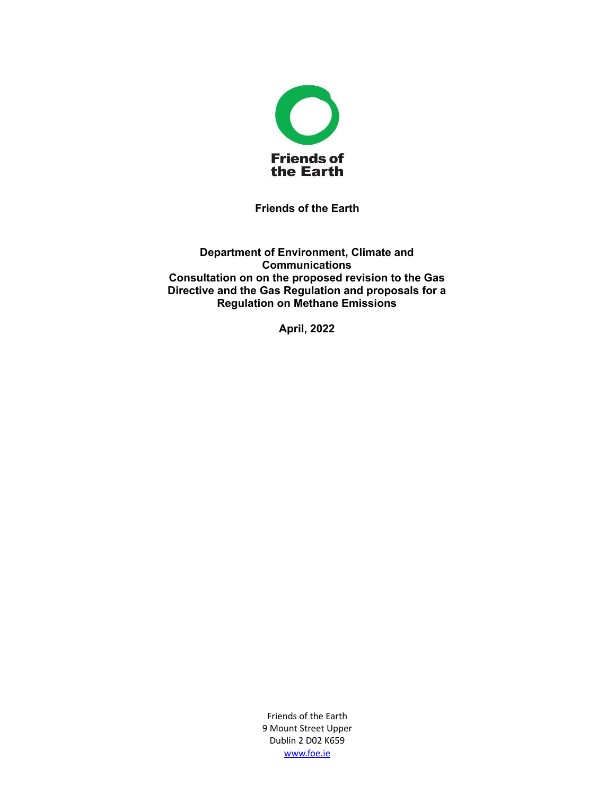

**Friends of the Earth**

**Department of Environment, Climate and Communications Consultation on on the proposed revision to the Gas Directive and the Gas Regulation and proposals for a Regulation on Methane Emissions**

**April, 2022**

Friends of the Earth 9 Mount Street Upper Dublin 2 D02 K659 [www.foe.ie](http://www.foe.ie)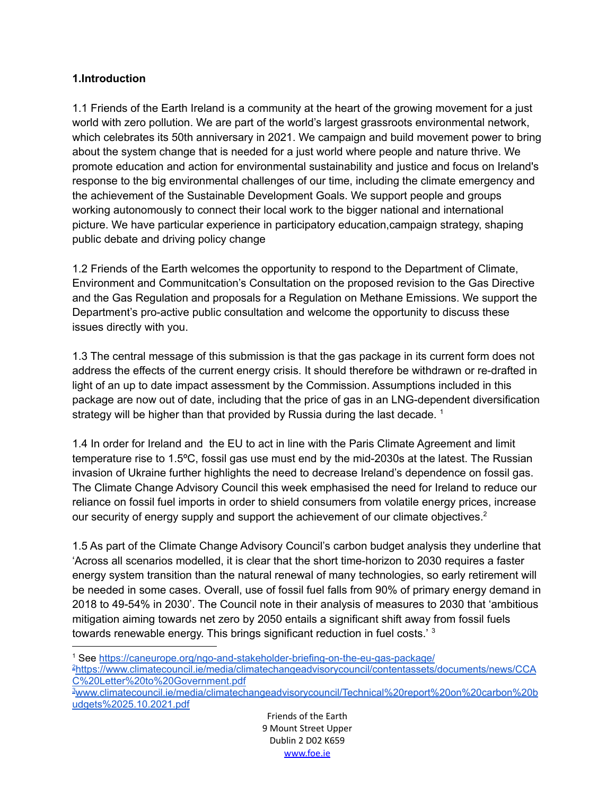### **1.Introduction**

1.1 Friends of the Earth Ireland is a community at the heart of the growing movement for a just world with zero pollution. We are part of the world's largest grassroots environmental network, which celebrates its 50th anniversary in 2021. We campaign and build movement power to bring about the system change that is needed for a just world where people and nature thrive. We promote education and action for environmental sustainability and justice and focus on Ireland's response to the big environmental challenges of our time, including the climate emergency and the achievement of the Sustainable Development Goals. We support people and groups working autonomously to connect their local work to the bigger national and international picture. We have particular experience in participatory education,campaign strategy, shaping public debate and driving policy change

1.2 Friends of the Earth welcomes the opportunity to respond to the Department of Climate, Environment and Communitcation's Consultation on the proposed revision to the Gas Directive and the Gas Regulation and proposals for a Regulation on Methane Emissions. We support the Department's pro-active public consultation and welcome the opportunity to discuss these issues directly with you.

1.3 The central message of this submission is that the gas package in its current form does not address the effects of the current energy crisis. It should therefore be withdrawn or re-drafted in light of an up to date impact assessment by the Commission. Assumptions included in this package are now out of date, including that the price of gas in an LNG-dependent diversification strategy will be higher than that provided by Russia during the last decade.  $^1$ 

1.4 In order for Ireland and the EU to act in line with the Paris Climate Agreement and limit temperature rise to 1.5ºC, fossil gas use must end by the mid-2030s at the latest. The Russian invasion of Ukraine further highlights the need to decrease Ireland's dependence on fossil gas. The Climate Change Advisory Council this week emphasised the need for Ireland to reduce our reliance on fossil fuel imports in order to shield consumers from volatile energy prices, increase our security of energy supply and support the achievement of our climate objectives.<sup>2</sup>

1.5 As part of the Climate Change Advisory Council's carbon budget analysis they underline that 'Across all scenarios modelled, it is clear that the short time-horizon to 2030 requires a faster energy system transition than the natural renewal of many technologies, so early retirement will be needed in some cases. Overall, use of fossil fuel falls from 90% of primary energy demand in 2018 to 49-54% in 2030'. The Council note in their analysis of measures to 2030 that 'ambitious mitigation aiming towards net zero by 2050 entails a significant shift away from fossil fuels towards renewable energy. This brings significant reduction in fuel costs.' <sup>3</sup>

<sup>3</sup>[www.climatecouncil.ie/media/climatechangeadvisorycouncil/Technical%20report%20on%20carbon%20b](http://www.climatecouncil.ie/media/climatechangeadvisorycouncil/Technical%20report%20on%20carbon%20budgets%2025.10.2021.pdf) [udgets%2025.10.2021.pdf](http://www.climatecouncil.ie/media/climatechangeadvisorycouncil/Technical%20report%20on%20carbon%20budgets%2025.10.2021.pdf) <sup>2</sup>[https://www.climatecouncil.ie/media/climatechangeadvisorycouncil/contentassets/documents/news/CCA](https://www.climatecouncil.ie/media/climatechangeadvisorycouncil/contentassets/documents/news/CCAC%20Letter%20to%20Government.pdf) [C%20Letter%20to%20Government.pdf](https://www.climatecouncil.ie/media/climatechangeadvisorycouncil/contentassets/documents/news/CCAC%20Letter%20to%20Government.pdf) <sup>1</sup> See <https://caneurope.org/ngo-and-stakeholder-briefing-on-the-eu-gas-package/>

> Friends of the Earth 9 Mount Street Upper Dublin 2 D02 K659 [www.foe.ie](http://www.foe.ie)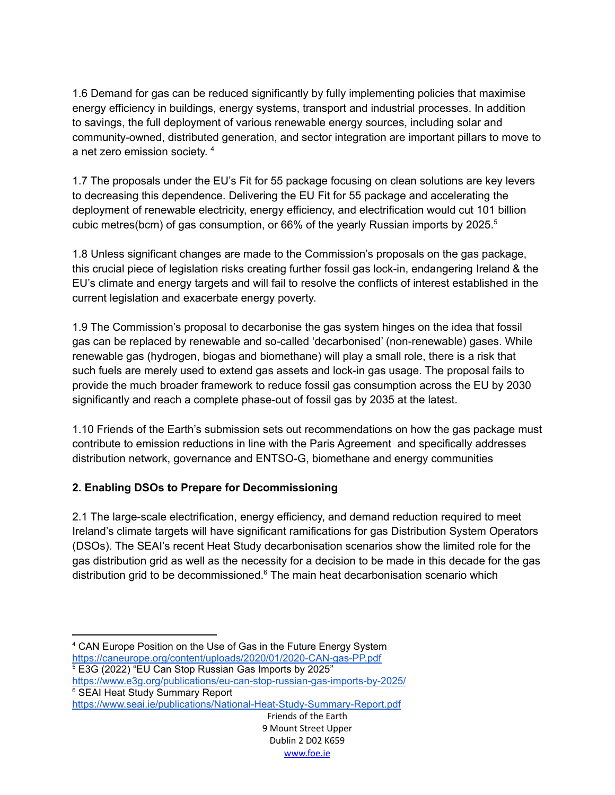1.6 Demand for gas can be reduced significantly by fully implementing policies that maximise energy efficiency in buildings, energy systems, transport and industrial processes. In addition to savings, the full deployment of various renewable energy sources, including solar and community-owned, distributed generation, and sector integration are important pillars to move to a net zero emission society. 4

1.7 The proposals under the EU's Fit for 55 package focusing on clean solutions are key levers to decreasing this dependence. Delivering the EU Fit for 55 package and accelerating the deployment of renewable electricity, energy efficiency, and electrification would cut 101 billion cubic metres(bcm) of gas consumption, or 66% of the yearly Russian imports by 2025. 5

1.8 Unless significant changes are made to the Commission's proposals on the gas package, this crucial piece of legislation risks creating further fossil gas lock-in, endangering Ireland & the EU's climate and energy targets and will fail to resolve the conflicts of interest established in the current legislation and exacerbate energy poverty.

1.9 The Commission's proposal to decarbonise the gas system hinges on the idea that fossil gas can be replaced by renewable and so-called 'decarbonised' (non-renewable) gases. While renewable gas (hydrogen, biogas and biomethane) will play a small role, there is a risk that such fuels are merely used to extend gas assets and lock-in gas usage. The proposal fails to provide the much broader framework to reduce fossil gas consumption across the EU by 2030 significantly and reach a complete phase-out of fossil gas by 2035 at the latest.

1.10 Friends of the Earth's submission sets out recommendations on how the gas package must contribute to emission reductions in line with the Paris Agreement and specifically addresses distribution network, governance and ENTSO-G, biomethane and energy communities

## **2. Enabling DSOs to Prepare for Decommissioning**

2.1 The large-scale electrification, energy efficiency, and demand reduction required to meet Ireland's climate targets will have significant ramifications for gas Distribution System Operators (DSOs). The SEAI's recent Heat Study decarbonisation scenarios show the limited role for the gas distribution grid as well as the necessity for a decision to be made in this decade for the gas distribution grid to be decommissioned. <sup>6</sup> The main heat decarbonisation scenario which

```
5 E3G (2022) "EU Can Stop Russian Gas Imports by 2025"
```

```
6 SEAI Heat Study Summary Report
https://www.e3g.org/publications/eu-can-stop-russian-gas-imports-by-2025/
```
<https://www.seai.ie/publications/National-Heat-Study-Summary-Report.pdf>

<sup>4</sup> CAN Europe Position on the Use of Gas in the Future Energy System <https://caneurope.org/content/uploads/2020/01/2020-CAN-gas-PP.pdf>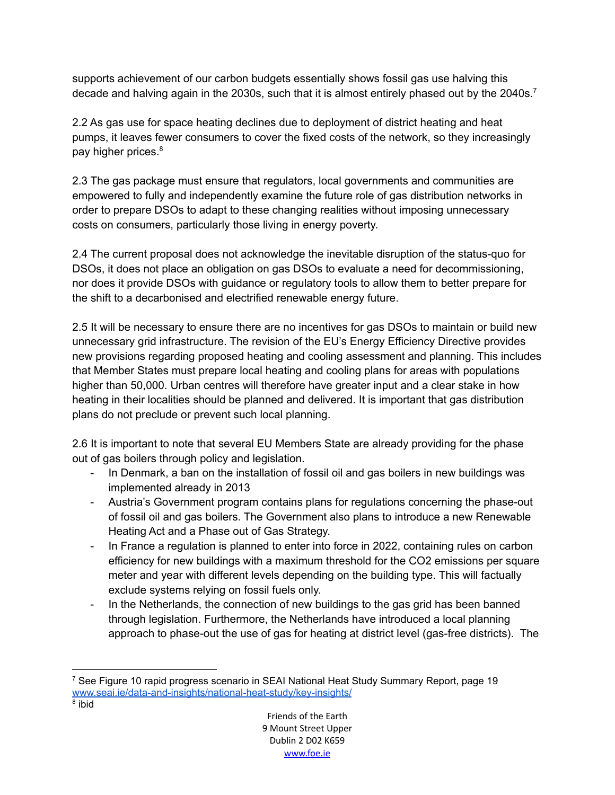supports achievement of our carbon budgets essentially shows fossil gas use halving this decade and halving again in the 2030s, such that it is almost entirely phased out by the 2040s.<sup>7</sup>

2.2 As gas use for space heating declines due to deployment of district heating and heat pumps, it leaves fewer consumers to cover the fixed costs of the network, so they increasingly pay higher prices. 8

2.3 The gas package must ensure that regulators, local governments and communities are empowered to fully and independently examine the future role of gas distribution networks in order to prepare DSOs to adapt to these changing realities without imposing unnecessary costs on consumers, particularly those living in energy poverty.

2.4 The current proposal does not acknowledge the inevitable disruption of the status-quo for DSOs, it does not place an obligation on gas DSOs to evaluate a need for decommissioning, nor does it provide DSOs with guidance or regulatory tools to allow them to better prepare for the shift to a decarbonised and electrified renewable energy future.

2.5 It will be necessary to ensure there are no incentives for gas DSOs to maintain or build new unnecessary grid infrastructure. The revision of the EU's Energy Efficiency Directive provides new provisions regarding proposed heating and cooling assessment and planning. This includes that Member States must prepare local heating and cooling plans for areas with populations higher than 50,000. Urban centres will therefore have greater input and a clear stake in how heating in their localities should be planned and delivered. It is important that gas distribution plans do not preclude or prevent such local planning.

2.6 It is important to note that several EU Members State are already providing for the phase out of gas boilers through policy and legislation.

- In Denmark, a ban on the installation of fossil oil and gas boilers in new buildings was implemented already in 2013
- Austria's Government program contains plans for regulations concerning the phase-out of fossil oil and gas boilers. The Government also plans to introduce a new Renewable Heating Act and a Phase out of Gas Strategy.
- In France a regulation is planned to enter into force in 2022, containing rules on carbon efficiency for new buildings with a maximum threshold for the CO2 emissions per square meter and year with different levels depending on the building type. This will factually exclude systems relying on fossil fuels only.
- In the Netherlands, the connection of new buildings to the gas grid has been banned through legislation. Furthermore, the Netherlands have introduced a local planning approach to phase-out the use of gas for heating at district level (gas-free districts). The

<sup>&</sup>lt;sup>7</sup> See Figure 10 rapid progress scenario in SEAI National Heat Study Summary Report, page 19 [www.seai.ie/data-and-insights/national-heat-study/key-insights/](http://www.seai.ie/data-and-insights/national-heat-study/key-insights/)

<sup>8</sup> ibid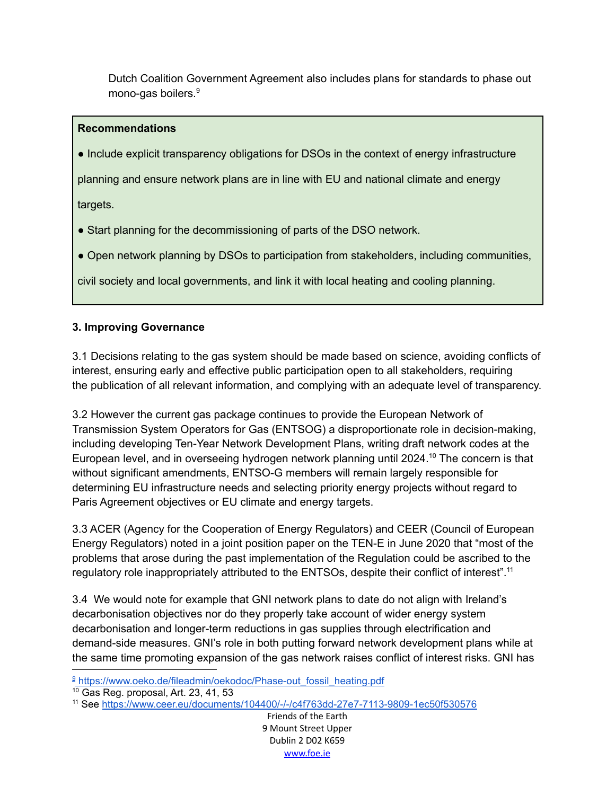Dutch Coalition Government Agreement also includes plans for standards to phase out mono-gas boilers. 9

## **Recommendations**

● Include explicit transparency obligations for DSOs in the context of energy infrastructure

planning and ensure network plans are in line with EU and national climate and energy

targets.

• Start planning for the decommissioning of parts of the DSO network.

● Open network planning by DSOs to participation from stakeholders, including communities,

civil society and local governments, and link it with local heating and cooling planning.

# **3. Improving Governance**

3.1 Decisions relating to the gas system should be made based on science, avoiding conflicts of interest, ensuring early and effective public participation open to all stakeholders, requiring the publication of all relevant information, and complying with an adequate level of transparency.

3.2 However the current gas package continues to provide the European Network of Transmission System Operators for Gas (ENTSOG) a disproportionate role in decision-making, including developing Ten-Year Network Development Plans, writing draft network codes at the European level, and in overseeing hydrogen network planning until 2024.<sup>10</sup> The concern is that without significant amendments, ENTSO-G members will remain largely responsible for determining EU infrastructure needs and selecting priority energy projects without regard to Paris Agreement objectives or EU climate and energy targets.

3.3 ACER (Agency for the Cooperation of Energy Regulators) and CEER (Council of European Energy Regulators) noted in a joint position paper on the TEN-E in June 2020 that "most of the problems that arose during the past implementation of the Regulation could be ascribed to the regulatory role inappropriately attributed to the ENTSOs, despite their conflict of interest".<sup>11</sup>

3.4 We would note for example that GNI network plans to date do not align with Ireland's decarbonisation objectives nor do they properly take account of wider energy system decarbonisation and longer-term reductions in gas supplies through electrification and demand-side measures. GNI's role in both putting forward network development plans while at the same time promoting expansion of the gas network raises conflict of interest risks. GNI has

<sup>&</sup>lt;sup>9</sup> [https://www.oeko.de/fileadmin/oekodoc/Phase-out\\_fossil\\_heating.pdf](https://www.oeko.de/fileadmin/oekodoc/Phase-out_fossil_heating.pdf)

<sup>10</sup> Gas Reg. proposal, Art. 23, 41, 53

<sup>11</sup> See <https://www.ceer.eu/documents/104400/-/-/c4f763dd-27e7-7113-9809-1ec50f530576>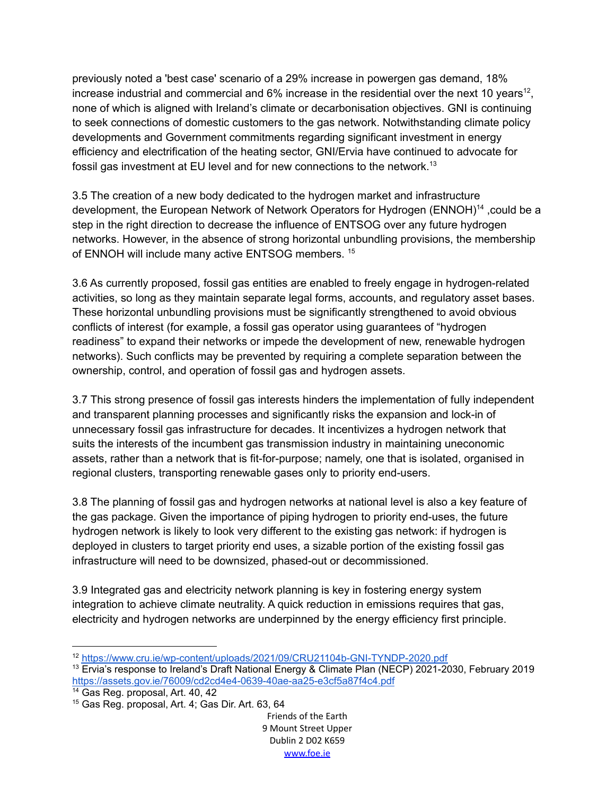previously noted a 'best case' scenario of a 29% increase in powergen gas demand, 18% increase industrial and commercial and 6% increase in the residential over the next 10 years<sup>12</sup>, none of which is aligned with Ireland's climate or decarbonisation objectives. GNI is continuing to seek connections of domestic customers to the gas network. Notwithstanding climate policy developments and Government commitments regarding significant investment in energy efficiency and electrification of the heating sector, GNI/Ervia have continued to advocate for fossil gas investment at EU level and for new connections to the network.<sup>13</sup>

3.5 The creation of a new body dedicated to the hydrogen market and infrastructure development, the European Network of Network Operators for Hydrogen (ENNOH)<sup>14</sup>, could be a step in the right direction to decrease the influence of ENTSOG over any future hydrogen networks. However, in the absence of strong horizontal unbundling provisions, the membership of ENNOH will include many active ENTSOG members.<sup>15</sup>

3.6 As currently proposed, fossil gas entities are enabled to freely engage in hydrogen-related activities, so long as they maintain separate legal forms, accounts, and regulatory asset bases. These horizontal unbundling provisions must be significantly strengthened to avoid obvious conflicts of interest (for example, a fossil gas operator using guarantees of "hydrogen readiness" to expand their networks or impede the development of new, renewable hydrogen networks). Such conflicts may be prevented by requiring a complete separation between the ownership, control, and operation of fossil gas and hydrogen assets.

3.7 This strong presence of fossil gas interests hinders the implementation of fully independent and transparent planning processes and significantly risks the expansion and lock-in of unnecessary fossil gas infrastructure for decades. It incentivizes a hydrogen network that suits the interests of the incumbent gas transmission industry in maintaining uneconomic assets, rather than a network that is fit-for-purpose; namely, one that is isolated, organised in regional clusters, transporting renewable gases only to priority end-users.

3.8 The planning of fossil gas and hydrogen networks at national level is also a key feature of the gas package. Given the importance of piping hydrogen to priority end-uses, the future hydrogen network is likely to look very different to the existing gas network: if hydrogen is deployed in clusters to target priority end uses, a sizable portion of the existing fossil gas infrastructure will need to be downsized, phased-out or decommissioned.

3.9 Integrated gas and electricity network planning is key in fostering energy system integration to achieve climate neutrality. A quick reduction in emissions requires that gas, electricity and hydrogen networks are underpinned by the energy efficiency first principle.

<sup>12</sup> <https://www.cru.ie/wp-content/uploads/2021/09/CRU21104b-GNI-TYNDP-2020.pdf>

<sup>&</sup>lt;sup>13</sup> Ervia's response to Ireland's Draft National Energy & Climate Plan (NECP) 2021-2030, February 2019 <https://assets.gov.ie/76009/cd2cd4e4-0639-40ae-aa25-e3cf5a87f4c4.pdf>

<sup>14</sup> Gas Reg. proposal, Art. 40, 42

<sup>15</sup> Gas Reg. proposal, Art. 4; Gas Dir. Art. 63, 64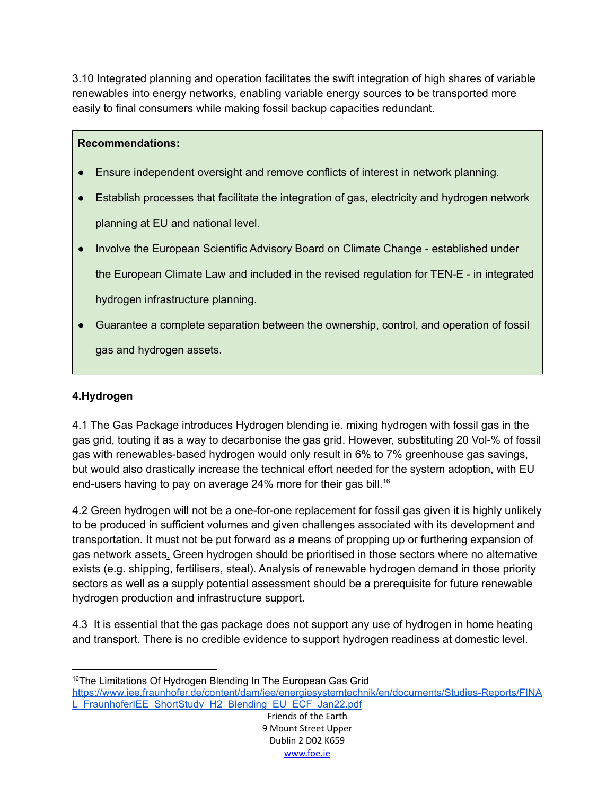3.10 Integrated planning and operation facilitates the swift integration of high shares of variable renewables into energy networks, enabling variable energy sources to be transported more easily to final consumers while making fossil backup capacities redundant.

### **Recommendations:**

- Ensure independent oversight and remove conflicts of interest in network planning.
- Establish processes that facilitate the integration of gas, electricity and hydrogen network planning at EU and national level.
- Involve the European Scientific Advisory Board on Climate Change established under the European Climate Law and included in the revised regulation for TEN-E - in integrated hydrogen infrastructure planning.
- Guarantee a complete separation between the ownership, control, and operation of fossil gas and hydrogen assets.

# **4.Hydrogen**

4.1 The Gas Package introduces Hydrogen blending ie. mixing hydrogen with fossil gas in the gas grid, touting it as a way to decarbonise the gas grid. However, substituting 20 Vol-% of fossil gas with renewables-based hydrogen would only result in 6% to 7% greenhouse gas savings, but would also drastically increase the technical effort needed for the system adoption, with EU end-users having to pay on average 24% more for their gas bill. 16

4.2 Green hydrogen will not be a one-for-one replacement for fossil gas given it is highly unlikely to be produced in sufficient volumes and given challenges associated with its development and transportation. It must not be put forward as a means of propping up or furthering expansion of gas network assets. Green hydrogen should be prioritised in those sectors where no alternative exists (e.g. shipping, fertilisers, steal). Analysis of renewable hydrogen demand in those priority sectors as well as a supply potential assessment should be a prerequisite for future renewable hydrogen production and infrastructure support.

4.3 It is essential that the gas package does not support any use of hydrogen in home heating and transport. There is no credible evidence to support hydrogen readiness at domestic level.

[https://www.iee.fraunhofer.de/content/dam/iee/energiesystemtechnik/en/documents/Studies-Reports/FINA](https://www.iee.fraunhofer.de/content/dam/iee/energiesystemtechnik/en/documents/Studies-Reports/FINAL_FraunhoferIEE_ShortStudy_H2_Blending_EU_ECF_Jan22.pdf) [L\\_FraunhoferIEE\\_ShortStudy\\_H2\\_Blending\\_EU\\_ECF\\_Jan22.pdf](https://www.iee.fraunhofer.de/content/dam/iee/energiesystemtechnik/en/documents/Studies-Reports/FINAL_FraunhoferIEE_ShortStudy_H2_Blending_EU_ECF_Jan22.pdf)

<sup>&</sup>lt;sup>16</sup>The Limitations Of Hydrogen Blending In The European Gas Grid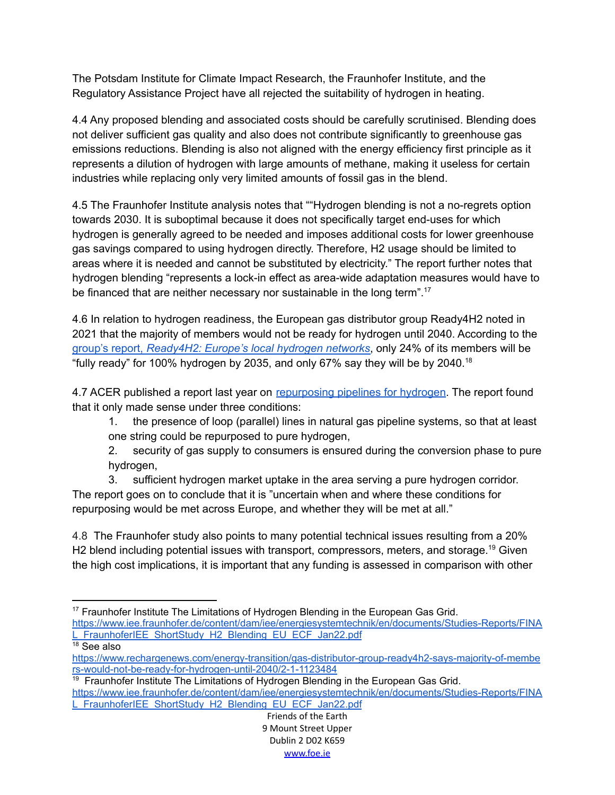The Potsdam Institute for Climate Impact Research, the Fraunhofer Institute, and the Regulatory Assistance Project have all rejected the suitability of hydrogen in heating.

4.4 Any proposed blending and associated costs should be carefully scrutinised. Blending does not deliver sufficient gas quality and also does not contribute significantly to greenhouse gas emissions reductions. Blending is also not aligned with the energy efficiency first principle as it represents a dilution of hydrogen with large amounts of methane, making it useless for certain industries while replacing only very limited amounts of fossil gas in the blend.

4.5 The Fraunhofer Institute analysis notes that ""Hydrogen blending is not a no-regrets option towards 2030. It is suboptimal because it does not specifically target end-uses for which hydrogen is generally agreed to be needed and imposes additional costs for lower greenhouse gas savings compared to using hydrogen directly. Therefore, H2 usage should be limited to areas where it is needed and cannot be substituted by electricity." The report further notes that hydrogen blending "represents a lock-in effect as area-wide adaptation measures would have to be financed that are neither necessary nor sustainable in the long term".<sup>17</sup>

4.6 In relation to hydrogen readiness, the European gas distributor group Ready4H2 noted in 2021 that the majority of members would not be ready for hydrogen until 2040. According to the group's report, *[Ready4H2:](https://www.ready4h2.com/projects-3) Europe's local hydrogen networks*, only 24% of its members will be "fully ready" for 100% hydrogen by 2035, and only 67% say they will be by 2040.<sup>18</sup>

4.7 ACER published a report last year on [repurposing](https://www.acer.europa.eu/events-and-engagement/news/repurposing-existing-gas-infrastructure-pure-hydrogen-acer-finds) pipelines for hydrogen. The report found that it only made sense under three conditions:

1. the presence of loop (parallel) lines in natural gas pipeline systems, so that at least one string could be repurposed to pure hydrogen,

2. security of gas supply to consumers is ensured during the conversion phase to pure hydrogen,

3. sufficient hydrogen market uptake in the area serving a pure hydrogen corridor. The report goes on to conclude that it is "uncertain when and where these conditions for repurposing would be met across Europe, and whether they will be met at all."

4.8 The Fraunhofer study also points to many potential technical issues resulting from a 20% H2 blend including potential issues with transport, compressors, meters, and storage.<sup>19</sup> Given the high cost implications, it is important that any funding is assessed in comparison with other

- <sup>17</sup> Fraunhofer Institute The Limitations of Hydrogen Blending in the European Gas Grid. [https://www.iee.fraunhofer.de/content/dam/iee/energiesystemtechnik/en/documents/Studies-Reports/FINA](https://www.iee.fraunhofer.de/content/dam/iee/energiesystemtechnik/en/documents/Studies-Reports/FINAL_FraunhoferIEE_ShortStudy_H2_Blending_EU_ECF_Jan22.pdf) [L\\_FraunhoferIEE\\_ShortStudy\\_H2\\_Blending\\_EU\\_ECF\\_Jan22.pdf](https://www.iee.fraunhofer.de/content/dam/iee/energiesystemtechnik/en/documents/Studies-Reports/FINAL_FraunhoferIEE_ShortStudy_H2_Blending_EU_ECF_Jan22.pdf)
- $18$  See also

[https://www.rechargenews.com/energy-transition/gas-distributor-group-ready4h2-says-majority-of-membe](https://www.rechargenews.com/energy-transition/gas-distributor-group-ready4h2-says-majority-of-members-would-not-be-ready-for-hydrogen-until-2040/2-1-1123484) [rs-would-not-be-ready-for-hydrogen-until-2040/2-1-1123484](https://www.rechargenews.com/energy-transition/gas-distributor-group-ready4h2-says-majority-of-members-would-not-be-ready-for-hydrogen-until-2040/2-1-1123484)

 $19$  Fraunhofer Institute The Limitations of Hydrogen Blending in the European Gas Grid. [https://www.iee.fraunhofer.de/content/dam/iee/energiesystemtechnik/en/documents/Studies-Reports/FINA](https://www.iee.fraunhofer.de/content/dam/iee/energiesystemtechnik/en/documents/Studies-Reports/FINAL_FraunhoferIEE_ShortStudy_H2_Blending_EU_ECF_Jan22.pdf) [L\\_FraunhoferIEE\\_ShortStudy\\_H2\\_Blending\\_EU\\_ECF\\_Jan22.pdf](https://www.iee.fraunhofer.de/content/dam/iee/energiesystemtechnik/en/documents/Studies-Reports/FINAL_FraunhoferIEE_ShortStudy_H2_Blending_EU_ECF_Jan22.pdf)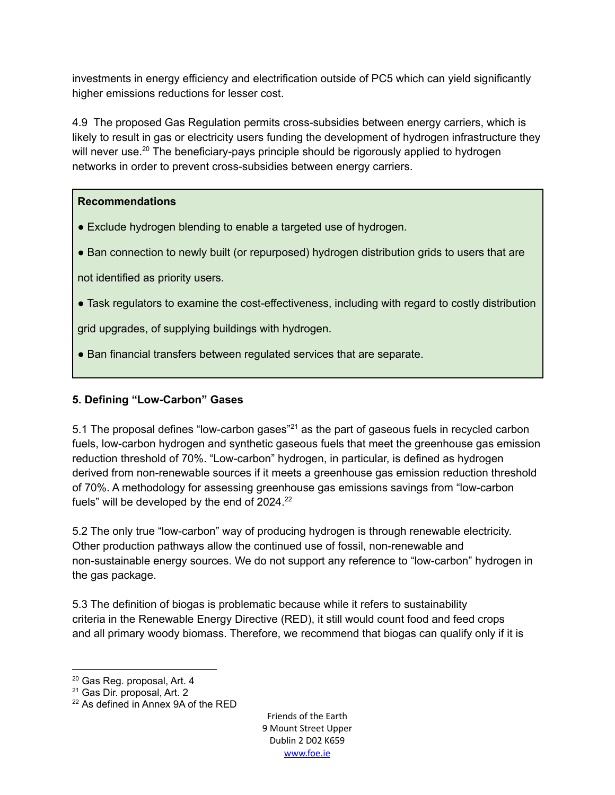investments in energy efficiency and electrification outside of PC5 which can yield significantly higher emissions reductions for lesser cost.

4.9 The proposed Gas Regulation permits cross-subsidies between energy carriers, which is likely to result in gas or electricity users funding the development of hydrogen infrastructure they will never use.<sup>20</sup> The beneficiary-pays principle should be rigorously applied to hydrogen networks in order to prevent cross-subsidies between energy carriers.

## **Recommendations**

- Exclude hydrogen blending to enable a targeted use of hydrogen.
- Ban connection to newly built (or repurposed) hydrogen distribution grids to users that are

not identified as priority users.

● Task regulators to examine the cost-effectiveness, including with regard to costly distribution

grid upgrades, of supplying buildings with hydrogen.

● Ban financial transfers between regulated services that are separate.

# **5. Defining "Low-Carbon" Gases**

5.1 The proposal defines "low-carbon gases"<sup>21</sup> as the part of gaseous fuels in recycled carbon fuels, low-carbon hydrogen and synthetic gaseous fuels that meet the greenhouse gas emission reduction threshold of 70%. "Low-carbon" hydrogen, in particular, is defined as hydrogen derived from non-renewable sources if it meets a greenhouse gas emission reduction threshold of 70%. A methodology for assessing greenhouse gas emissions savings from "low-carbon fuels" will be developed by the end of 2024.<sup>22</sup>

5.2 The only true "low-carbon" way of producing hydrogen is through renewable electricity. Other production pathways allow the continued use of fossil, non-renewable and non-sustainable energy sources. We do not support any reference to "low-carbon" hydrogen in the gas package.

5.3 The definition of biogas is problematic because while it refers to sustainability criteria in the Renewable Energy Directive (RED), it still would count food and feed crops and all primary woody biomass. Therefore, we recommend that biogas can qualify only if it is

<sup>&</sup>lt;sup>20</sup> Gas Reg. proposal, Art. 4

<sup>21</sup> Gas Dir. proposal, Art. 2

 $22$  As defined in Annex 9A of the RED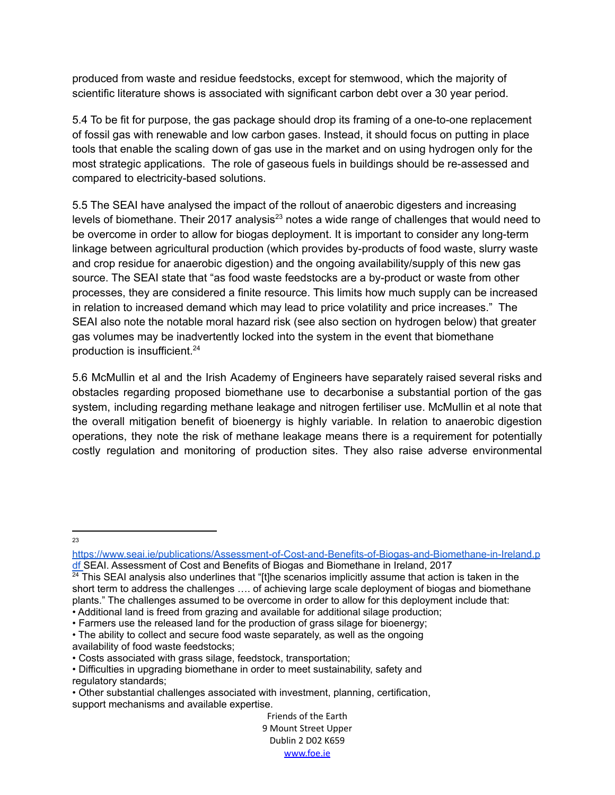produced from waste and residue feedstocks, except for stemwood, which the majority of scientific literature shows is associated with significant carbon debt over a 30 year period.

5.4 To be fit for purpose, the gas package should drop its framing of a one-to-one replacement of fossil gas with renewable and low carbon gases. Instead, it should focus on putting in place tools that enable the scaling down of gas use in the market and on using hydrogen only for the most strategic applications. The role of gaseous fuels in buildings should be re-assessed and compared to electricity-based solutions.

5.5 The SEAI have analysed the impact of the rollout of anaerobic digesters and increasing levels of biomethane. Their 2017 analysis<sup>23</sup> notes a wide range of challenges that would need to be overcome in order to allow for biogas deployment. It is important to consider any long-term linkage between agricultural production (which provides by-products of food waste, slurry waste and crop residue for anaerobic digestion) and the ongoing availability/supply of this new gas source. The SEAI state that "as food waste feedstocks are a by-product or waste from other processes, they are considered a finite resource. This limits how much supply can be increased in relation to increased demand which may lead to price volatility and price increases." The SEAI also note the notable moral hazard risk (see also section on hydrogen below) that greater gas volumes may be inadvertently locked into the system in the event that biomethane production is insufficient. 24

5.6 McMullin et al and the Irish Academy of Engineers have separately raised several risks and obstacles regarding proposed biomethane use to decarbonise a substantial portion of the gas system, including regarding methane leakage and nitrogen fertiliser use. McMullin et al note that the overall mitigation benefit of bioenergy is highly variable. In relation to anaerobic digestion operations, they note the risk of methane leakage means there is a requirement for potentially costly regulation and monitoring of production sites. They also raise adverse environmental

 $2<sup>2</sup>$ 

[https://www.seai.ie/publications/Assessment-of-Cost-and-Benefits-of-Biogas-and-Biomethane-in-Ireland.p](https://www.seai.ie/publications/Assessment-of-Cost-and-Benefits-of-Biogas-and-Biomethane-in-Ireland.pdf) [df](https://www.seai.ie/publications/Assessment-of-Cost-and-Benefits-of-Biogas-and-Biomethane-in-Ireland.pdf) SEAI. Assessment of Cost and Benefits of Biogas and Biomethane in Ireland, 2017

 $24$  This SEAI analysis also underlines that "[t]he scenarios implicitly assume that action is taken in the short term to address the challenges …. of achieving large scale deployment of biogas and biomethane plants." The challenges assumed to be overcome in order to allow for this deployment include that: • Additional land is freed from grazing and available for additional silage production;

<sup>•</sup> Farmers use the released land for the production of grass silage for bioenergy; • The ability to collect and secure food waste separately, as well as the ongoing

availability of food waste feedstocks;

<sup>•</sup> Costs associated with grass silage, feedstock, transportation;

<sup>•</sup> Difficulties in upgrading biomethane in order to meet sustainability, safety and regulatory standards;

<sup>•</sup> Other substantial challenges associated with investment, planning, certification, support mechanisms and available expertise.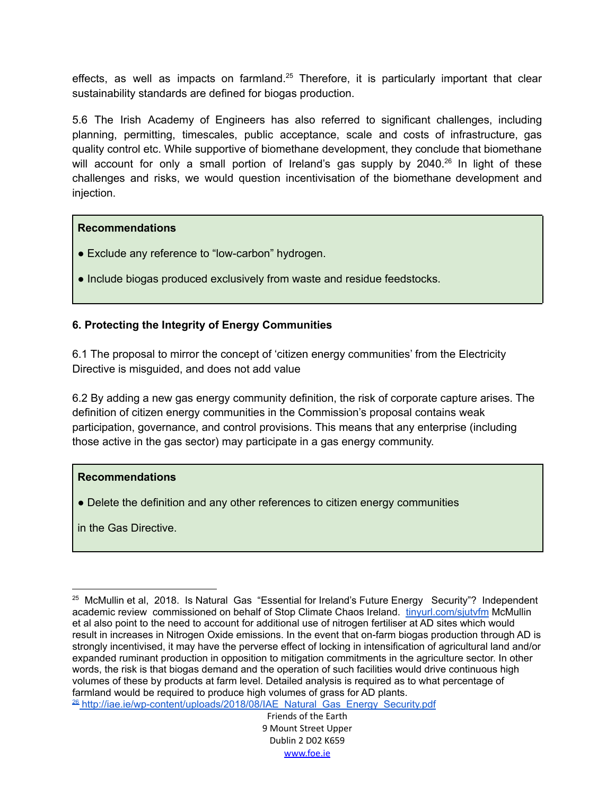effects, as well as impacts on farmland.<sup>25</sup> Therefore, it is particularly important that clear sustainability standards are defined for biogas production.

5.6 The Irish Academy of Engineers has also referred to significant challenges, including planning, permitting, timescales, public acceptance, scale and costs of infrastructure, gas quality control etc. While supportive of biomethane development, they conclude that biomethane will account for only a small portion of Ireland's gas supply by 2040.<sup>26</sup> In light of these challenges and risks, we would question incentivisation of the biomethane development and injection.

#### **Recommendations**

- Exclude any reference to "low-carbon" hydrogen.
- Include biogas produced exclusively from waste and residue feedstocks.

### **6. Protecting the Integrity of Energy Communities**

6.1 The proposal to mirror the concept of 'citizen energy communities' from the Electricity Directive is misguided, and does not add value

6.2 By adding a new gas energy community definition, the risk of corporate capture arises. The definition of citizen energy communities in the Commission's proposal contains weak participation, governance, and control provisions. This means that any enterprise (including those active in the gas sector) may participate in a gas energy community.

#### **Recommendations**

• Delete the definition and any other references to citizen energy communities

in the Gas Directive.

<sup>&</sup>lt;sup>26</sup> [http://iae.ie/wp-content/uploads/2018/08/IAE\\_Natural\\_Gas\\_Energy\\_Security.pdf](http://iae.ie/wp-content/uploads/2018/08/IAE_Natural_Gas_Energy_Security.pdf) <sup>25</sup> McMullin et al, 2018. Is Natural Gas "Essential for Ireland's Future Energy Security"? Independent academic review commissioned on behalf of Stop Climate Chaos Ireland. [tinyurl.com/sjutvfm](http://tinyurl.com/sjutvfm) McMullin et al also point to the need to account for additional use of nitrogen fertiliser at AD sites which would result in increases in Nitrogen Oxide emissions. In the event that on-farm biogas production through AD is strongly incentivised, it may have the perverse effect of locking in intensification of agricultural land and/or expanded ruminant production in opposition to mitigation commitments in the agriculture sector. In other words, the risk is that biogas demand and the operation of such facilities would drive continuous high volumes of these by products at farm level. Detailed analysis is required as to what percentage of farmland would be required to produce high volumes of grass for AD plants.